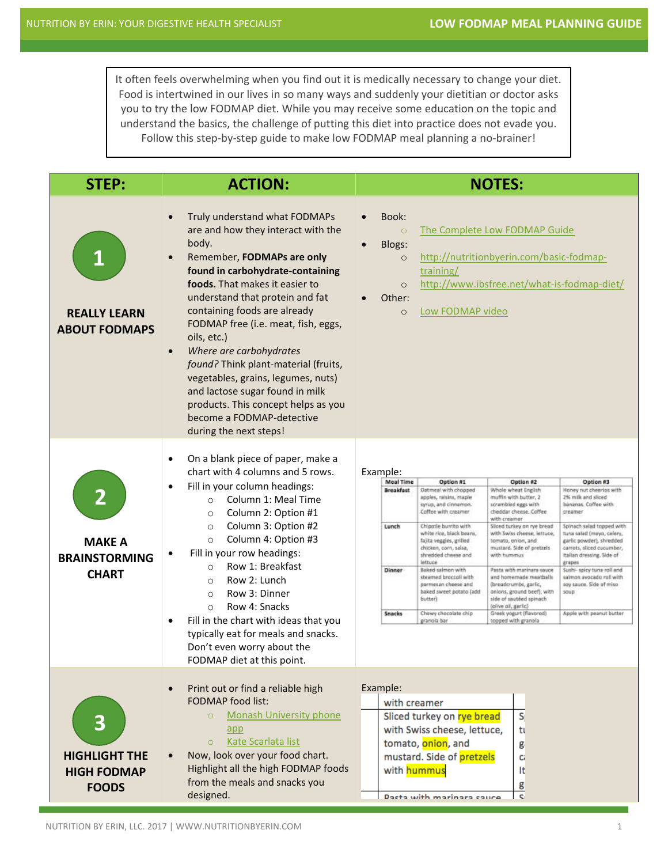It often feels overwhelming when you find out it is medically necessary to change your diet. Food is intertwined in our lives in so many ways and suddenly your dietitian or doctor asks you to try the low FODMAP diet. While you may receive some education on the topic and understand the basics, the challenge of putting this diet into practice does not evade you. Follow this step-by-step guide to make low FODMAP meal planning a no-brainer!

| <b>STEP:</b>                                                    | <b>ACTION:</b>                                                                                                                                                                                                                                                                                                                                                                                                                                                                                                                                                                             | <b>NOTES:</b>                                                                                                                                                                                                                                                                                                                                                                                                                                                                                                                                                                                                                                                                                                                                                                                                                                                                                                                                                                                                                                                                                                                                                                                                                                                                                                                                                     |
|-----------------------------------------------------------------|--------------------------------------------------------------------------------------------------------------------------------------------------------------------------------------------------------------------------------------------------------------------------------------------------------------------------------------------------------------------------------------------------------------------------------------------------------------------------------------------------------------------------------------------------------------------------------------------|-------------------------------------------------------------------------------------------------------------------------------------------------------------------------------------------------------------------------------------------------------------------------------------------------------------------------------------------------------------------------------------------------------------------------------------------------------------------------------------------------------------------------------------------------------------------------------------------------------------------------------------------------------------------------------------------------------------------------------------------------------------------------------------------------------------------------------------------------------------------------------------------------------------------------------------------------------------------------------------------------------------------------------------------------------------------------------------------------------------------------------------------------------------------------------------------------------------------------------------------------------------------------------------------------------------------------------------------------------------------|
| <b>REALLY LEARN</b><br><b>ABOUT FODMAPS</b>                     | Truly understand what FODMAPs<br>$\bullet$<br>are and how they interact with the<br>body.<br>Remember, FODMAPs are only<br>$\bullet$<br>found in carbohydrate-containing<br>foods. That makes it easier to<br>understand that protein and fat<br>containing foods are already<br>FODMAP free (i.e. meat, fish, eggs,<br>oils, etc.)<br>Where are carbohydrates<br>$\bullet$<br>found? Think plant-material (fruits,<br>vegetables, grains, legumes, nuts)<br>and lactose sugar found in milk<br>products. This concept helps as you<br>become a FODMAP-detective<br>during the next steps! | Book:<br>$\bullet$<br>The Complete Low FODMAP Guide<br>$\circ$<br>Blogs:<br>http://nutritionbyerin.com/basic-fodmap-<br>$\circ$<br>training/<br>http://www.ibsfree.net/what-is-fodmap-diet/<br>$\circ$<br>Other:<br>Low FODMAP video<br>$\circ$                                                                                                                                                                                                                                                                                                                                                                                                                                                                                                                                                                                                                                                                                                                                                                                                                                                                                                                                                                                                                                                                                                                   |
| <b>MAKE A</b><br><b>BRAINSTORMING</b><br><b>CHART</b>           | On a blank piece of paper, make a<br>$\bullet$<br>chart with 4 columns and 5 rows.<br>Fill in your column headings:<br>$\bullet$<br>Column 1: Meal Time<br>$\circ$<br>Column 2: Option #1<br>$\circ$<br>Column 3: Option #2<br>$\circ$<br>Column 4: Option #3<br>$\circ$<br>Fill in your row headings:<br>Row 1: Breakfast<br>$\circ$<br>Row 2: Lunch<br>$\circ$<br>Row 3: Dinner<br>$\Omega$<br>Row 4: Snacks<br>$\Omega$<br>Fill in the chart with ideas that you<br>$\bullet$<br>typically eat for meals and snacks.<br>Don't even worry about the<br>FODMAP diet at this point.        | Example:<br><b>Meal Time</b><br>Option #2<br>Option #1<br>Option #3<br><b>Breakfast</b><br>Whole wheat English<br>Honey nut cheerios with<br>Datmeal with chopped<br>2% milk and sliced<br>apples, raisins, maple<br>muffin with butter, 2<br>bananas. Coffee with<br>syrup, and cinnamon.<br>scrambied eggs with<br>Coffee with creamer.<br>creamer<br>cheddar cheese. Coffee<br>with creamer<br>Lunch<br>Chipotle burrito with<br>Silced turkey on rye bread<br>Spinach salad topped with<br>white rice, black beans,<br>with Swiss cheese, lettuce,<br>tuna salad (mayo, celery,<br>fajita veggies, grilled<br>tomato, onion, and<br>gartic powder), shredded<br>chicken, corn, saisa,<br>mustard. Side of pretzels<br>carrots, sliced cucumber,<br>shredded cheese and<br>with hummus<br>Italian dressing. Side of<br>lettuce<br>grapes<br>Dinner<br>Baked salmon with<br>Pasta with marinara sauce<br>Sushi- spicy tuna roll and<br>diw iloccoli bamsas<br>salmon avocado roll with<br>and homemade meathalls<br>parmesan cheese and<br>(breadcrumbs, garlic,<br>soy sauce. Side of miso<br>baked sweet potato (add<br>onions, ground beef), with<br>soup<br>butter)<br>side of sautéed spinach<br>(olive oil, garlic)<br><b>Snacks</b><br>Chewy chocolate chip<br>Greek yogurt (flavored)<br>Apple with peanut butter<br>granola bar<br>topped with granola |
| 3<br><b>HIGHLIGHT THE</b><br><b>HIGH FODMAP</b><br><b>FOODS</b> | Print out or find a reliable high<br>$\bullet$<br><b>FODMAP</b> food list:<br><b>Monash University phone</b><br>$\circ$<br>app<br>Kate Scarlata list<br>$\Omega$<br>Now, look over your food chart.<br>$\bullet$<br>Highlight all the high FODMAP foods<br>from the meals and snacks you<br>designed.                                                                                                                                                                                                                                                                                      | Example:<br>with creamer<br>S <sub>1</sub><br>Sliced turkey on rye bread<br>with Swiss cheese, lettuce,<br>tı<br>tomato, onion, and<br>g<br>mustard. Side of pretzels<br>Ci<br>with hummus<br>lt.<br>g<br>Docto with marinara cauco<br>C.                                                                                                                                                                                                                                                                                                                                                                                                                                                                                                                                                                                                                                                                                                                                                                                                                                                                                                                                                                                                                                                                                                                         |